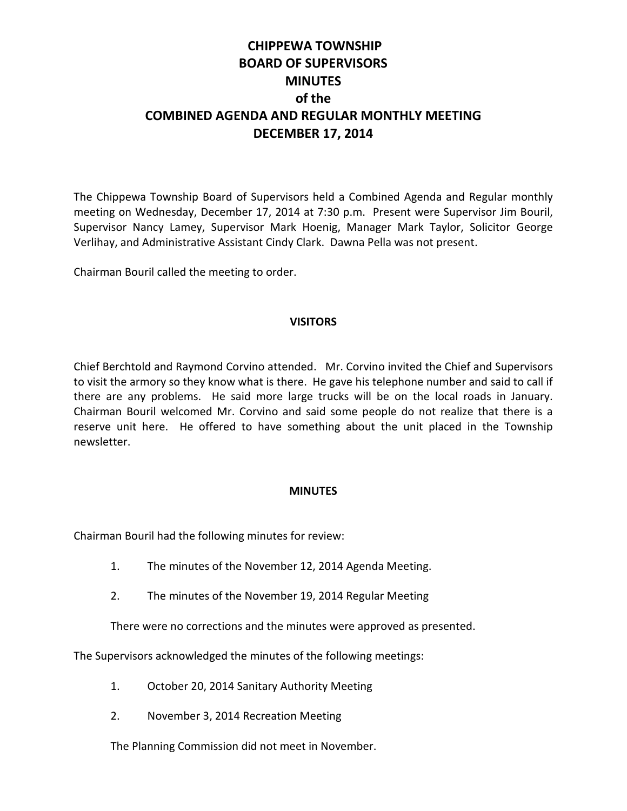# **CHIPPEWA TOWNSHIP BOARD OF SUPERVISORS MINUTES of the COMBINED AGENDA AND REGULAR MONTHLY MEETING DECEMBER 17, 2014**

The Chippewa Township Board of Supervisors held a Combined Agenda and Regular monthly meeting on Wednesday, December 17, 2014 at 7:30 p.m. Present were Supervisor Jim Bouril, Supervisor Nancy Lamey, Supervisor Mark Hoenig, Manager Mark Taylor, Solicitor George Verlihay, and Administrative Assistant Cindy Clark. Dawna Pella was not present.

Chairman Bouril called the meeting to order.

## **VISITORS**

Chief Berchtold and Raymond Corvino attended. Mr. Corvino invited the Chief and Supervisors to visit the armory so they know what is there. He gave his telephone number and said to call if there are any problems. He said more large trucks will be on the local roads in January. Chairman Bouril welcomed Mr. Corvino and said some people do not realize that there is a reserve unit here. He offered to have something about the unit placed in the Township newsletter.

#### **MINUTES**

Chairman Bouril had the following minutes for review:

- 1. The minutes of the November 12, 2014 Agenda Meeting.
- 2. The minutes of the November 19, 2014 Regular Meeting

There were no corrections and the minutes were approved as presented.

The Supervisors acknowledged the minutes of the following meetings:

- 1. October 20, 2014 Sanitary Authority Meeting
- 2. November 3, 2014 Recreation Meeting

The Planning Commission did not meet in November.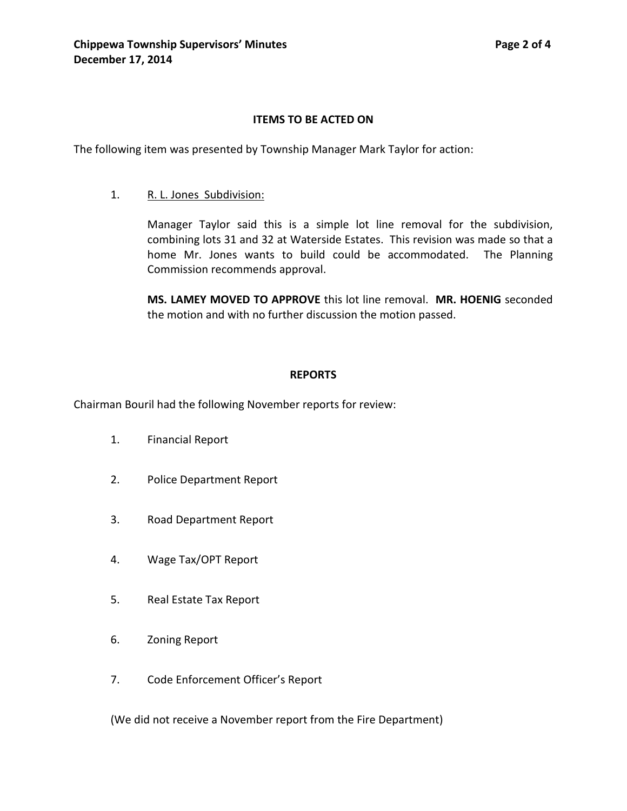# **ITEMS TO BE ACTED ON**

The following item was presented by Township Manager Mark Taylor for action:

## 1. R. L. Jones Subdivision:

Manager Taylor said this is a simple lot line removal for the subdivision, combining lots 31 and 32 at Waterside Estates. This revision was made so that a home Mr. Jones wants to build could be accommodated. The Planning Commission recommends approval.

**MS. LAMEY MOVED TO APPROVE** this lot line removal. **MR. HOENIG** seconded the motion and with no further discussion the motion passed.

## **REPORTS**

Chairman Bouril had the following November reports for review:

- 1. Financial Report
- 2. Police Department Report
- 3. Road Department Report
- 4. Wage Tax/OPT Report
- 5. Real Estate Tax Report
- 6. Zoning Report
- 7. Code Enforcement Officer's Report

(We did not receive a November report from the Fire Department)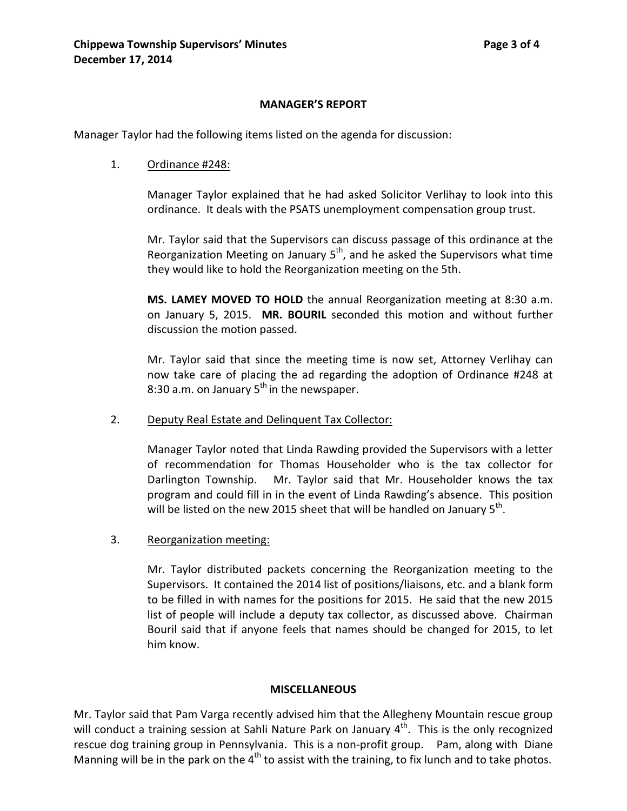## **MANAGER'S REPORT**

Manager Taylor had the following items listed on the agenda for discussion:

#### 1. Ordinance #248:

Manager Taylor explained that he had asked Solicitor Verlihay to look into this ordinance. It deals with the PSATS unemployment compensation group trust.

Mr. Taylor said that the Supervisors can discuss passage of this ordinance at the Reorganization Meeting on January  $5<sup>th</sup>$ , and he asked the Supervisors what time they would like to hold the Reorganization meeting on the 5th.

**MS. LAMEY MOVED TO HOLD** the annual Reorganization meeting at 8:30 a.m. on January 5, 2015. **MR. BOURIL** seconded this motion and without further discussion the motion passed.

Mr. Taylor said that since the meeting time is now set, Attorney Verlihay can now take care of placing the ad regarding the adoption of Ordinance #248 at 8:30 a.m. on January  $5<sup>th</sup>$  in the newspaper.

2. Deputy Real Estate and Delinquent Tax Collector:

Manager Taylor noted that Linda Rawding provided the Supervisors with a letter of recommendation for Thomas Householder who is the tax collector for Darlington Township. Mr. Taylor said that Mr. Householder knows the tax program and could fill in in the event of Linda Rawding's absence. This position will be listed on the new 2015 sheet that will be handled on January  $5<sup>th</sup>$ .

3. Reorganization meeting:

Mr. Taylor distributed packets concerning the Reorganization meeting to the Supervisors. It contained the 2014 list of positions/liaisons, etc. and a blank form to be filled in with names for the positions for 2015. He said that the new 2015 list of people will include a deputy tax collector, as discussed above. Chairman Bouril said that if anyone feels that names should be changed for 2015, to let him know.

#### **MISCELLANEOUS**

Mr. Taylor said that Pam Varga recently advised him that the Allegheny Mountain rescue group will conduct a training session at Sahli Nature Park on January  $4<sup>th</sup>$ . This is the only recognized rescue dog training group in Pennsylvania. This is a non-profit group. Pam, along with Diane Manning will be in the park on the  $4<sup>th</sup>$  to assist with the training, to fix lunch and to take photos.